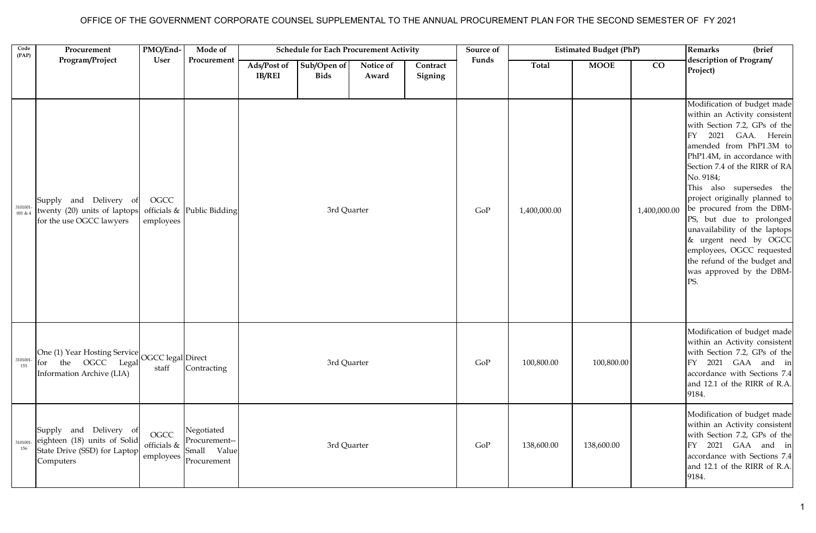## OFFICE OF THE GOVERNMENT CORPORATE COUNSEL SUPPLEMENTAL TO THE ANNUAL PROCUREMENT PLAN FOR THE SECOND SEMESTER OF FY 2021

| Code<br>(PAP)      | Procurement                                                                                         | PMO/End-                         | Mode of                                                   | <b>Estimated Budget (PhP)</b><br><b>Schedule for Each Procurement Activity</b><br>Source of |                            |                    | <b>Remarks</b><br>(brief |       |              |             |                 |                                                                                                                                                                                                                                                                                                                                                                                                                                                                                                                |
|--------------------|-----------------------------------------------------------------------------------------------------|----------------------------------|-----------------------------------------------------------|---------------------------------------------------------------------------------------------|----------------------------|--------------------|--------------------------|-------|--------------|-------------|-----------------|----------------------------------------------------------------------------------------------------------------------------------------------------------------------------------------------------------------------------------------------------------------------------------------------------------------------------------------------------------------------------------------------------------------------------------------------------------------------------------------------------------------|
|                    | Program/Project                                                                                     | User                             | Procurement                                               | Ads/Post of<br><b>IB/REI</b>                                                                | Sub/Open of<br><b>Bids</b> | Notice of<br>Award | Contract<br>Signing      | Funds | Total        | <b>MOOE</b> | $\overline{co}$ | description of Program/<br>Project)                                                                                                                                                                                                                                                                                                                                                                                                                                                                            |
| 3101001<br>001 & 4 | Supply and Delivery of<br>twenty (20) units of laptops<br>for the use OGCC lawyers                  | OGCC<br>employees                | officials $\&$ Public Bidding                             |                                                                                             | 3rd Quarter                |                    |                          | GoP   | 1,400,000.00 |             | 1,400,000.00    | Modification of budget made<br>within an Activity consistent<br>with Section 7.2, GPs of the<br>2021 GAA. Herein<br>FY<br>amended from PhP1.3M to<br>PhP1.4M, in accordance with<br>Section 7.4 of the RIRR of RA<br>No. 9184;<br>This also supersedes the<br>project originally planned to<br>be procured from the DBM-<br>PS, but due to prolonged<br>unavailability of the laptops<br>& urgent need by OGCC<br>employees, OGCC requested<br>the refund of the budget and<br>was approved by the DBM-<br>PS. |
| 3101001<br>155     | One (1) Year Hosting Service OGCC legal Direct<br>for the OGCC Legal<br>Information Archive (LIA)   | staff                            | Contracting                                               |                                                                                             | 3rd Quarter                |                    |                          | GoP   | 100,800.00   | 100,800.00  |                 | Modification of budget made<br>within an Activity consistent<br>with Section 7.2, GPs of the<br>FY 2021 GAA and in<br>accordance with Sections 7.4<br>and 12.1 of the RIRR of R.A.<br>9184.                                                                                                                                                                                                                                                                                                                    |
| 3101001<br>156     | Supply and Delivery of<br>eighteen (18) units of Solid<br>State Drive (SSD) for Laptop<br>Computers | OGCC<br>officials &<br>employees | Negotiated<br>Procurement--<br>Small Value<br>Procurement |                                                                                             | 3rd Quarter                |                    |                          | GoP   | 138,600.00   | 138,600.00  |                 | Modification of budget made<br>within an Activity consistent<br>with Section 7.2, GPs of the<br>FY 2021 GAA and in<br>accordance with Sections 7.4<br>and 12.1 of the RIRR of R.A.<br>9184.                                                                                                                                                                                                                                                                                                                    |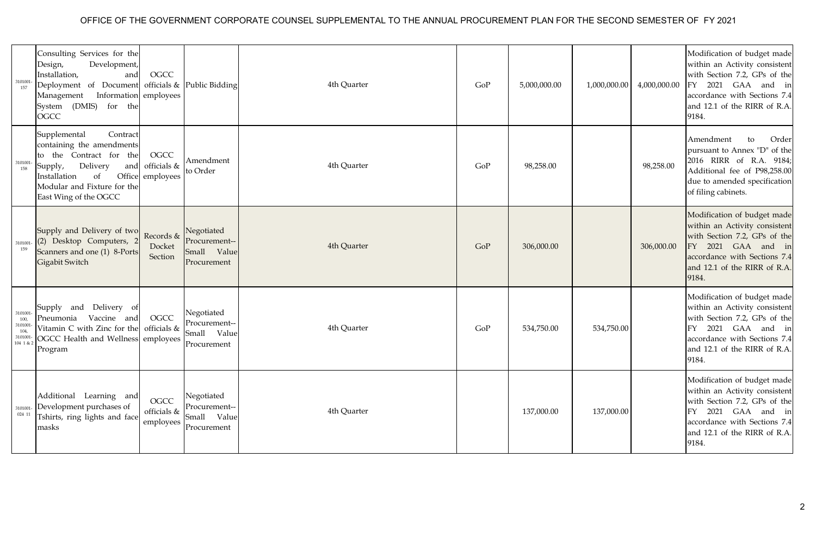## OFFICE OF THE GOVERNMENT CORPORATE COUNSEL SUPPLEMENTAL TO THE ANNUAL PROCUREMENT PLAN FOR THE SECOND SEMESTER OF FY 2021

| 3101001<br>157                                             | Consulting Services for the<br>Development,<br>Design,<br>Installation,<br>and<br>Deployment of Document<br>Management Information employees<br>System (DMIS)<br>for the<br>OGCC                       | <b>OGCC</b>                      | officials & Public Bidding                                   | 4th Quarter | GoP | 5,000,000.00 | 1,000,000.00 | 4,000,000.00 | Modification of budget made<br>within an Activity consistent<br>with Section 7.2, GPs of the<br>2021 GAA and in<br>FY<br>accordance with Sections 7.4<br>and 12.1 of the RIRR of R.A.<br>9184. |
|------------------------------------------------------------|--------------------------------------------------------------------------------------------------------------------------------------------------------------------------------------------------------|----------------------------------|--------------------------------------------------------------|-------------|-----|--------------|--------------|--------------|------------------------------------------------------------------------------------------------------------------------------------------------------------------------------------------------|
| 3101001<br>158                                             | Supplemental<br>Contract<br>containing the amendments<br>to the Contract for the<br>Delivery<br>Supply,<br>and<br>Office<br>Installation<br>of<br>Modular and Fixture for the<br>East Wing of the OGCC | OGCC<br>officials &<br>employees | Amendment<br>to Order                                        | 4th Quarter | GoP | 98,258.00    |              | 98,258.00    | Amendment<br>Order<br>to<br>pursuant to Annex "D" of the<br>2016 RIRR of R.A. 9184;<br>Additional fee of P98,258.00<br>due to amended specification<br>of filing cabinets.                     |
| 3101001<br>159                                             | Supply and Delivery of two<br>(2) Desktop Computers,<br>Scanners and one (1) 8-Ports<br>Gigabit Switch                                                                                                 | Records &<br>Docket<br>Section   | Negotiated<br>Procurement--<br>Small<br>Value<br>Procurement | 4th Quarter | GoP | 306,000.00   |              | 306,000.00   | Modification of budget made<br>within an Activity consistent<br>with Section 7.2, GPs of the<br>FY 2021 GAA and in<br>accordance with Sections 7.4<br>and 12.1 of the RIRR of R.A.<br>9184.    |
| 3101001<br>100,<br>3101001<br>104,<br>3101001<br>104 1 & 2 | Supply and Delivery of<br>Pneumonia Vaccine and<br>Vitamin C with Zinc for the<br>OGCC Health and Wellness employees<br>Program                                                                        | OGCC<br>officials &              | Negotiated<br>Procurement--<br>Small Value<br>Procurement    | 4th Quarter | GoP | 534,750.00   | 534,750.00   |              | Modification of budget made<br>within an Activity consistent<br>with Section 7.2, GPs of the<br>2021 GAA and in<br>FY<br>accordance with Sections 7.4<br>and 12.1 of the RIRR of R.A.<br>9184. |
| 3101001<br>024 11                                          | Additional Learning and<br>Development purchases of<br>Tshirts, ring lights and face<br>masks                                                                                                          | OGCC<br>officials &<br>employees | Negotiated<br>Procurement--<br>Value<br>Small<br>Procurement | 4th Quarter |     | 137,000.00   | 137,000.00   |              | Modification of budget made<br>within an Activity consistent<br>with Section 7.2, GPs of the<br>2021 GAA and in<br>FY<br>accordance with Sections 7.4<br>and 12.1 of the RIRR of R.A.<br>9184. |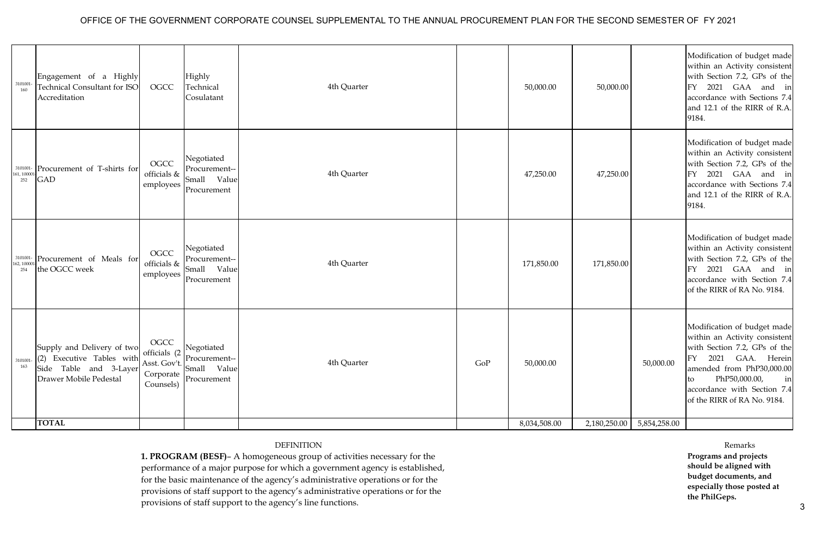## OFFICE OF THE GOVERNMENT CORPORATE COUNSEL SUPPLEMENTAL TO THE ANNUAL PROCUREMENT PLAN FOR THE SECOND SEMESTER OF FY 2021

| 3101001<br>160                                             | Engagement of a Highly<br><b>Technical Consultant for ISO</b><br>Accreditation                              | OGCC                                                           | Highly<br>Technical<br>Cosulatant                         | 4th Quarter |     | 50,000.00    | 50,000.00    |              | Modification of budget made<br>within an Activity consistent<br>with Section 7.2, GPs of the<br>2021 GAA and in<br>FY<br>accordance with Sections 7.4<br>and 12.1 of the RIRR of R.A.<br>9184.                                                 |
|------------------------------------------------------------|-------------------------------------------------------------------------------------------------------------|----------------------------------------------------------------|-----------------------------------------------------------|-------------|-----|--------------|--------------|--------------|------------------------------------------------------------------------------------------------------------------------------------------------------------------------------------------------------------------------------------------------|
| $\begin{array}{c} 3101001 \\ 161,10000 \end{array}$<br>252 | Procurement of T-shirts for<br><b>GAD</b>                                                                   | OGCC<br>officials &<br>employees                               | Negotiated<br>Procurement--<br>Small Value<br>Procurement | 4th Quarter |     | 47,250.00    | 47,250.00    |              | Modification of budget made<br>within an Activity consistent<br>with Section 7.2, GPs of the<br>2021 GAA and in<br>FY<br>accordance with Sections 7.4<br>and 12.1 of the RIRR of R.A.<br>9184.                                                 |
| 162, 10000<br>254                                          | 3101001- Procurement of Meals for<br>the OGCC week                                                          | OGCC<br>officials &<br>employees                               | Negotiated<br>Procurement--<br>Small Value<br>Procurement | 4th Quarter |     | 171,850.00   | 171,850.00   |              | Modification of budget made<br>within an Activity consistent<br>with Section 7.2, GPs of the<br>2021 GAA and in<br>FY<br>accordance with Section 7.4<br>of the RIRR of RA No. 9184.                                                            |
| 3101001<br>163                                             | Supply and Delivery of two<br>(2) Executive Tables with<br>Side Table and 3-Layer<br>Drawer Mobile Pedestal | OGCC<br>officials (2<br>Asst. Gov't.<br>Corporate<br>Counsels) | Negotiated<br>Procurement--<br>Small Value<br>Procurement | 4th Quarter | GoP | 50,000.00    |              | 50,000.00    | Modification of budget made<br>within an Activity consistent<br>with Section 7.2, GPs of the<br>2021 GAA. Herein<br>FY<br>amended from PhP30,000.00<br>PhP50,000.00,<br>in<br>to<br>accordance with Section 7.4<br>of the RIRR of RA No. 9184. |
|                                                            | <b>TOTAL</b>                                                                                                |                                                                |                                                           |             |     | 8,034,508.00 | 2,180,250.00 | 5,854,258.00 |                                                                                                                                                                                                                                                |

## DEFINITION

**1. PROGRAM (BESF)**– A homogeneous group of activities necessary for the performance of a major purpose for which a government agency is established, for the basic maintenance of the agency's administrative operations or for the provisions of staff support to the agency's administrative operations or for the provisions of staff support to the agency's line functions.

Remarks **Programs and projects should be aligned with budget documents, and especially those posted at the PhilGeps.**